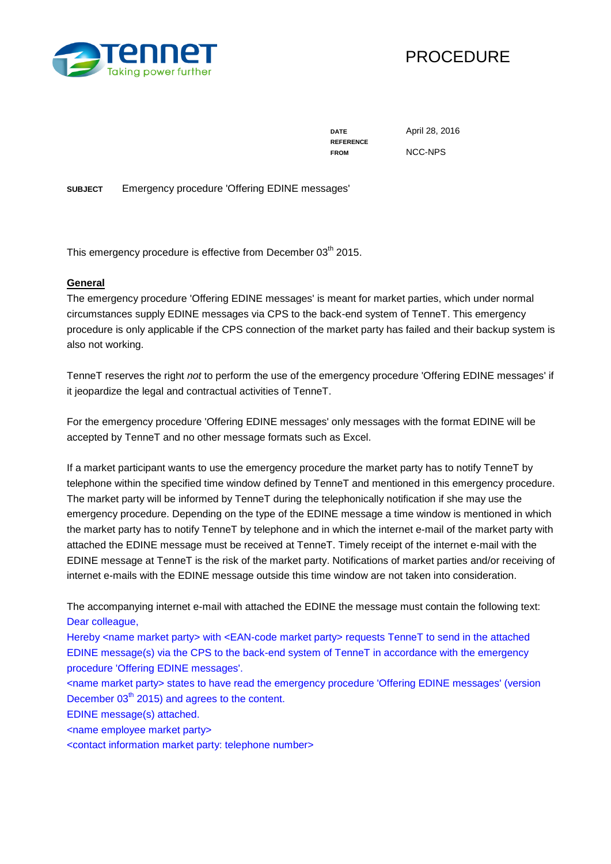



**REFERENCE FROM** NCC-NPS

**DATE** April 28, 2016

**SUBJECT** Emergency procedure 'Offering EDINE messages'

This emergency procedure is effective from December 03<sup>th</sup> 2015.

#### **General**

The emergency procedure 'Offering EDINE messages' is meant for market parties, which under normal circumstances supply EDINE messages via CPS to the back-end system of TenneT. This emergency procedure is only applicable if the CPS connection of the market party has failed and their backup system is also not working.

TenneT reserves the right *not* to perform the use of the emergency procedure 'Offering EDINE messages' if it jeopardize the legal and contractual activities of TenneT.

For the emergency procedure 'Offering EDINE messages' only messages with the format EDINE will be accepted by TenneT and no other message formats such as Excel.

If a market participant wants to use the emergency procedure the market party has to notify TenneT by telephone within the specified time window defined by TenneT and mentioned in this emergency procedure. The market party will be informed by TenneT during the telephonically notification if she may use the emergency procedure. Depending on the type of the EDINE message a time window is mentioned in which the market party has to notify TenneT by telephone and in which the internet e-mail of the market party with attached the EDINE message must be received at TenneT. Timely receipt of the internet e-mail with the EDINE message at TenneT is the risk of the market party. Notifications of market parties and/or receiving of internet e-mails with the EDINE message outside this time window are not taken into consideration.

The accompanying internet e-mail with attached the EDINE the message must contain the following text: Dear colleague,

Hereby <name market party> with <EAN-code market party> requests TenneT to send in the attached EDINE message(s) via the CPS to the back-end system of TenneT in accordance with the emergency procedure 'Offering EDINE messages'.

<name market party> states to have read the emergency procedure 'Offering EDINE messages' (version December  $03<sup>th</sup>$  2015) and agrees to the content.

EDINE message(s) attached.

<name employee market party>

<contact information market party: telephone number>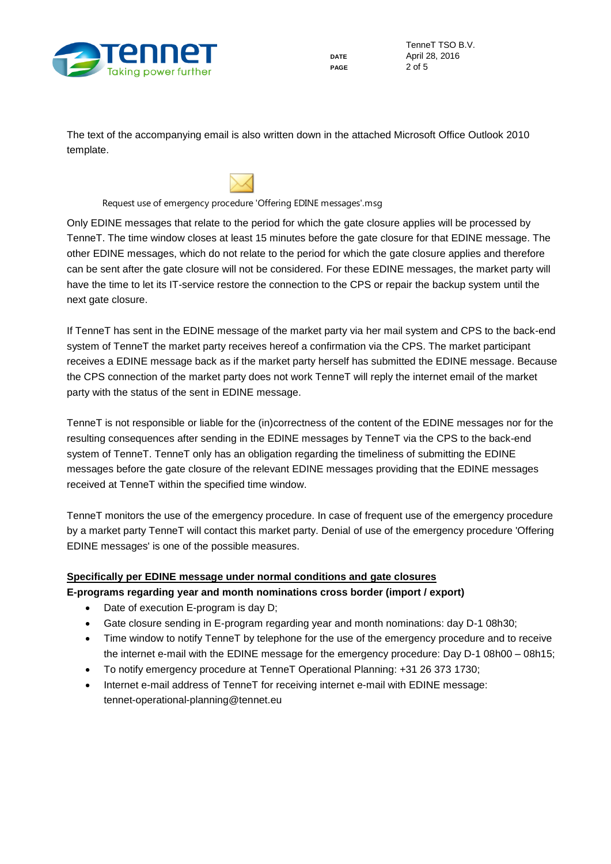

TenneT TSO B.V. **DATE** April 28, 2016 **PAGE** 2 of 5

The text of the accompanying email is also written down in the attached Microsoft Office Outlook 2010 template.



Request use of emergency procedure 'Offering EDINE messages'.msg

Only EDINE messages that relate to the period for which the gate closure applies will be processed by TenneT. The time window closes at least 15 minutes before the gate closure for that EDINE message. The other EDINE messages, which do not relate to the period for which the gate closure applies and therefore can be sent after the gate closure will not be considered. For these EDINE messages, the market party will have the time to let its IT-service restore the connection to the CPS or repair the backup system until the next gate closure.

If TenneT has sent in the EDINE message of the market party via her mail system and CPS to the back-end system of TenneT the market party receives hereof a confirmation via the CPS. The market participant receives a EDINE message back as if the market party herself has submitted the EDINE message. Because the CPS connection of the market party does not work TenneT will reply the internet email of the market party with the status of the sent in EDINE message.

TenneT is not responsible or liable for the (in)correctness of the content of the EDINE messages nor for the resulting consequences after sending in the EDINE messages by TenneT via the CPS to the back-end system of TenneT. TenneT only has an obligation regarding the timeliness of submitting the EDINE messages before the gate closure of the relevant EDINE messages providing that the EDINE messages received at TenneT within the specified time window.

TenneT monitors the use of the emergency procedure. In case of frequent use of the emergency procedure by a market party TenneT will contact this market party. Denial of use of the emergency procedure 'Offering EDINE messages' is one of the possible measures.

# **Specifically per EDINE message under normal conditions and gate closures**

- **E-programs regarding year and month nominations cross border (import / export)**
	- Date of execution E-program is day D;
	- Gate closure sending in E-program regarding year and month nominations: day D-1 08h30;
	- Time window to notify TenneT by telephone for the use of the emergency procedure and to receive the internet e-mail with the EDINE message for the emergency procedure: Day D-1 08h00 – 08h15;
	- To notify emergency procedure at TenneT Operational Planning: +31 26 373 1730;
	- Internet e-mail address of TenneT for receiving internet e-mail with EDINE message: tennet-operational-planning@tennet.eu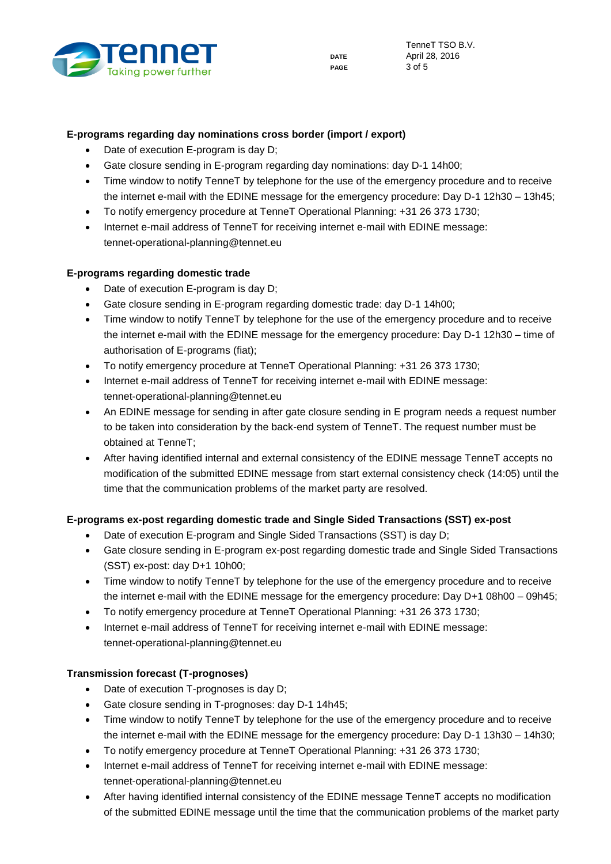

## **E-programs regarding day nominations cross border (import / export)**

- Date of execution E-program is day D;
- Gate closure sending in E-program regarding day nominations: day D-1 14h00;
- Time window to notify TenneT by telephone for the use of the emergency procedure and to receive the internet e-mail with the EDINE message for the emergency procedure: Day D-1 12h30 – 13h45;
- To notify emergency procedure at TenneT Operational Planning: +31 26 373 1730;
- Internet e-mail address of TenneT for receiving internet e-mail with EDINE message: tennet-operational-planning@tennet.eu

#### **E-programs regarding domestic trade**

- Date of execution E-program is day D;
- Gate closure sending in E-program regarding domestic trade: day D-1 14h00;
- Time window to notify TenneT by telephone for the use of the emergency procedure and to receive the internet e-mail with the EDINE message for the emergency procedure: Day D-1 12h30 – time of authorisation of E-programs (fiat);
- To notify emergency procedure at TenneT Operational Planning: +31 26 373 1730;
- Internet e-mail address of TenneT for receiving internet e-mail with EDINE message: tennet-operational-planning@tennet.eu
- An EDINE message for sending in after gate closure sending in E program needs a request number to be taken into consideration by the back-end system of TenneT. The request number must be obtained at TenneT;
- After having identified internal and external consistency of the EDINE message TenneT accepts no modification of the submitted EDINE message from start external consistency check (14:05) until the time that the communication problems of the market party are resolved.

#### **E-programs ex-post regarding domestic trade and Single Sided Transactions (SST) ex-post**

- Date of execution E-program and Single Sided Transactions (SST) is day D;
- Gate closure sending in E-program ex-post regarding domestic trade and Single Sided Transactions (SST) ex-post: day D+1 10h00;
- Time window to notify TenneT by telephone for the use of the emergency procedure and to receive the internet e-mail with the EDINE message for the emergency procedure: Day D+1 08h00 – 09h45;
- To notify emergency procedure at TenneT Operational Planning: +31 26 373 1730;
- Internet e-mail address of TenneT for receiving internet e-mail with EDINE message: tennet-operational-planning@tennet.eu

#### **Transmission forecast (T-prognoses)**

- Date of execution T-prognoses is day D;
- Gate closure sending in T-prognoses: day D-1 14h45;
- Time window to notify TenneT by telephone for the use of the emergency procedure and to receive the internet e-mail with the EDINE message for the emergency procedure: Day D-1 13h30 – 14h30;
- To notify emergency procedure at TenneT Operational Planning: +31 26 373 1730;
- Internet e-mail address of TenneT for receiving internet e-mail with EDINE message: tennet-operational-planning@tennet.eu
- After having identified internal consistency of the EDINE message TenneT accepts no modification of the submitted EDINE message until the time that the communication problems of the market party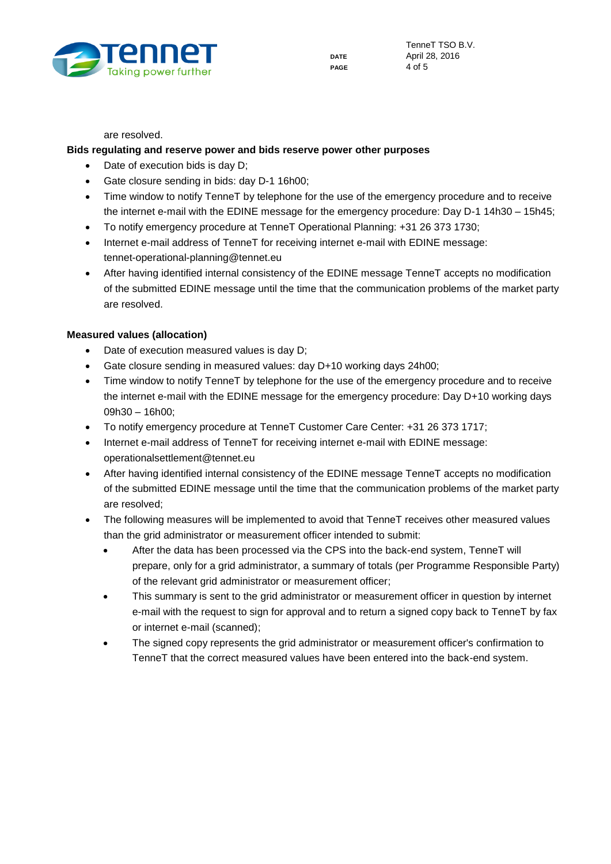

are resolved.

### **Bids regulating and reserve power and bids reserve power other purposes**

- Date of execution bids is day D;
- Gate closure sending in bids: day D-1 16h00;
- Time window to notify TenneT by telephone for the use of the emergency procedure and to receive the internet e-mail with the EDINE message for the emergency procedure: Day D-1 14h30 – 15h45;
- To notify emergency procedure at TenneT Operational Planning: +31 26 373 1730;
- Internet e-mail address of TenneT for receiving internet e-mail with EDINE message: tennet-operational-planning@tennet.eu
- After having identified internal consistency of the EDINE message TenneT accepts no modification of the submitted EDINE message until the time that the communication problems of the market party are resolved.

### **Measured values (allocation)**

- Date of execution measured values is day D;
- Gate closure sending in measured values: day D+10 working days 24h00;
- Time window to notify TenneT by telephone for the use of the emergency procedure and to receive the internet e-mail with the EDINE message for the emergency procedure: Day D+10 working days 09h30 – 16h00;
- To notify emergency procedure at TenneT Customer Care Center: +31 26 373 1717;
- Internet e-mail address of TenneT for receiving internet e-mail with EDINE message: operationalsettlement@tennet.eu
- After having identified internal consistency of the EDINE message TenneT accepts no modification of the submitted EDINE message until the time that the communication problems of the market party are resolved;
- The following measures will be implemented to avoid that TenneT receives other measured values than the grid administrator or measurement officer intended to submit:
	- After the data has been processed via the CPS into the back-end system, TenneT will prepare, only for a grid administrator, a summary of totals (per Programme Responsible Party) of the relevant grid administrator or measurement officer;
	- This summary is sent to the grid administrator or measurement officer in question by internet e-mail with the request to sign for approval and to return a signed copy back to TenneT by fax or internet e-mail (scanned);
	- The signed copy represents the grid administrator or measurement officer's confirmation to TenneT that the correct measured values have been entered into the back-end system.